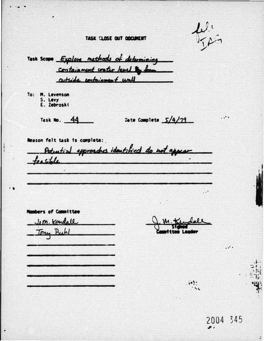TASK CLOSE OUT DOCUMENT

 $L^{f_1}$  $J<\mathcal{L}$ 

Task Scope Explore methods of determining containment water level to form actside containment wall To: M. Levenson S. Levy<br>E. Zebroski  $\dddotsc$ Task No. 44 Date Complete 5/4/79 Reason felt task is complete: Potential approaches identified do not appear teasible Members of Committee J.M. Kendall Jony Buhl **Leader** 

 $103.5$  $.52$  . .. .